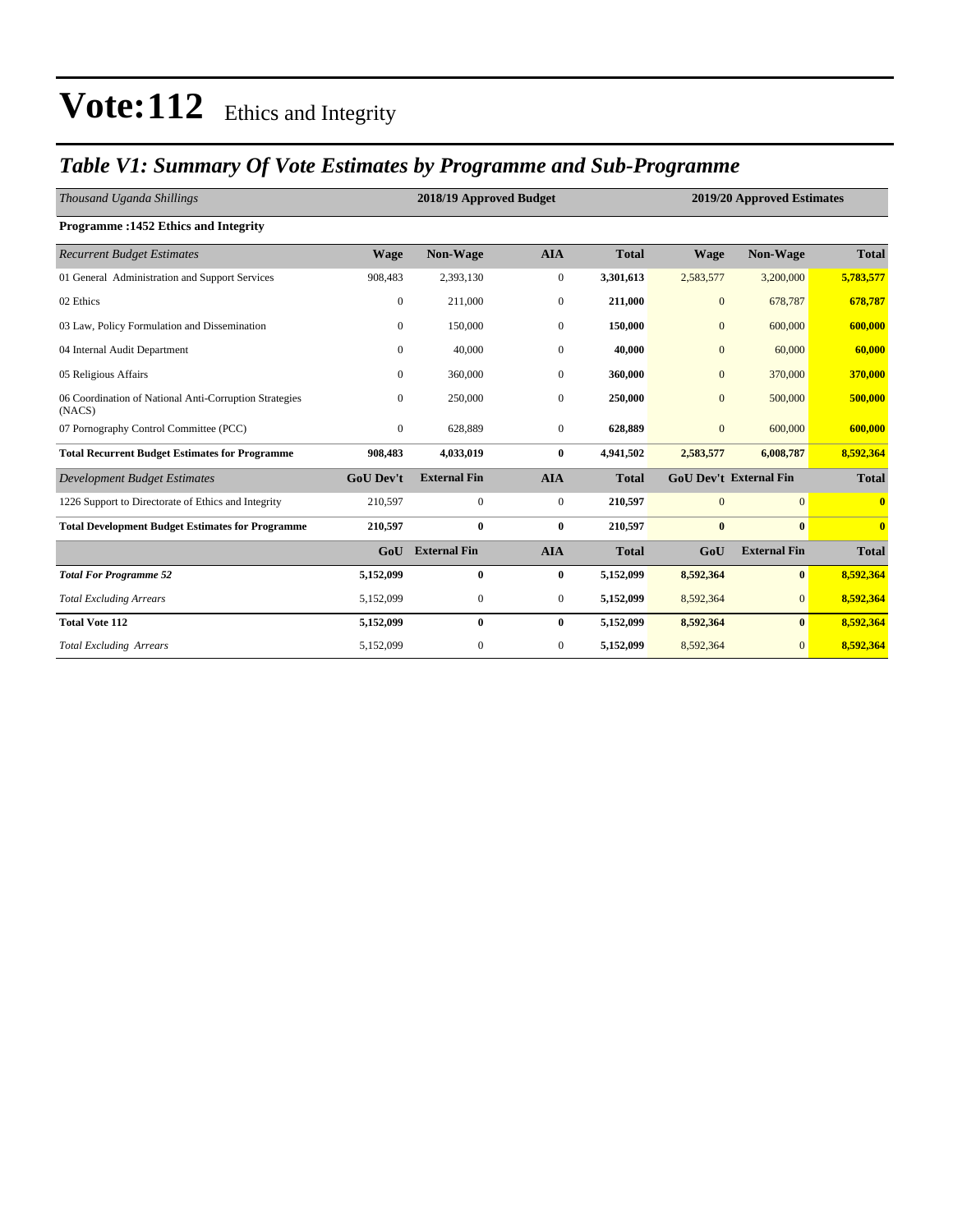### *Table V1: Summary Of Vote Estimates by Programme and Sub-Programme*

| Thousand Uganda Shillings                                        |                  | 2018/19 Approved Budget |                  |              |                | 2019/20 Approved Estimates    |              |
|------------------------------------------------------------------|------------------|-------------------------|------------------|--------------|----------------|-------------------------------|--------------|
| <b>Programme:1452 Ethics and Integrity</b>                       |                  |                         |                  |              |                |                               |              |
| <b>Recurrent Budget Estimates</b>                                | <b>Wage</b>      | Non-Wage                | <b>AIA</b>       | <b>Total</b> | <b>Wage</b>    | <b>Non-Wage</b>               | <b>Total</b> |
| 01 General Administration and Support Services                   | 908,483          | 2,393,130               | $\mathbf{0}$     | 3,301,613    | 2,583,577      | 3,200,000                     | 5,783,577    |
| 02 Ethics                                                        | $\mathbf{0}$     | 211,000                 | $\boldsymbol{0}$ | 211,000      | $\mathbf{0}$   | 678,787                       | 678,787      |
| 03 Law, Policy Formulation and Dissemination                     | $\mathbf{0}$     | 150,000                 | $\mathbf{0}$     | 150,000      | $\overline{0}$ | 600,000                       | 600,000      |
| 04 Internal Audit Department                                     | $\mathbf{0}$     | 40,000                  | $\mathbf{0}$     | 40,000       | $\overline{0}$ | 60,000                        | 60,000       |
| 05 Religious Affairs                                             | $\Omega$         | 360,000                 | $\mathbf{0}$     | 360,000      | $\overline{0}$ | 370,000                       | 370,000      |
| 06 Coordination of National Anti-Corruption Strategies<br>(NACS) | $\Omega$         | 250,000                 | $\boldsymbol{0}$ | 250,000      | $\overline{0}$ | 500,000                       | 500,000      |
| 07 Pornography Control Committee (PCC)                           | $\mathbf{0}$     | 628,889                 | $\mathbf{0}$     | 628,889      | $\overline{0}$ | 600,000                       | 600,000      |
| <b>Total Recurrent Budget Estimates for Programme</b>            | 908,483          | 4,033,019               | $\bf{0}$         | 4,941,502    | 2,583,577      | 6,008,787                     | 8,592,364    |
| <b>Development Budget Estimates</b>                              | <b>GoU Dev't</b> | <b>External Fin</b>     | <b>AIA</b>       | <b>Total</b> |                | <b>GoU Dev't External Fin</b> | <b>Total</b> |
| 1226 Support to Directorate of Ethics and Integrity              | 210,597          | $\mathbf{0}$            | $\mathbf{0}$     | 210,597      | $\overline{0}$ | $\overline{0}$                | $\bf{0}$     |
| <b>Total Development Budget Estimates for Programme</b>          | 210.597          | $\bf{0}$                | $\bf{0}$         | 210.597      | $\bf{0}$       | $\mathbf{0}$                  | $\mathbf{0}$ |
|                                                                  | GoU              | <b>External Fin</b>     | <b>AIA</b>       | <b>Total</b> | GoU            | <b>External Fin</b>           | <b>Total</b> |
| <b>Total For Programme 52</b>                                    | 5,152,099        | $\bf{0}$                | $\bf{0}$         | 5,152,099    | 8,592,364      | $\bf{0}$                      | 8,592,364    |
| <b>Total Excluding Arrears</b>                                   | 5,152,099        | $\boldsymbol{0}$        | $\mathbf{0}$     | 5,152,099    | 8,592,364      | $\mathbf{0}$                  | 8,592,364    |
| <b>Total Vote 112</b>                                            | 5,152,099        | $\bf{0}$                | $\bf{0}$         | 5,152,099    | 8,592,364      | $\bf{0}$                      | 8,592,364    |
| <b>Total Excluding Arrears</b>                                   | 5,152,099        | $\mathbf{0}$            | $\mathbf{0}$     | 5,152,099    | 8,592,364      | $\mathbf{0}$                  | 8,592,364    |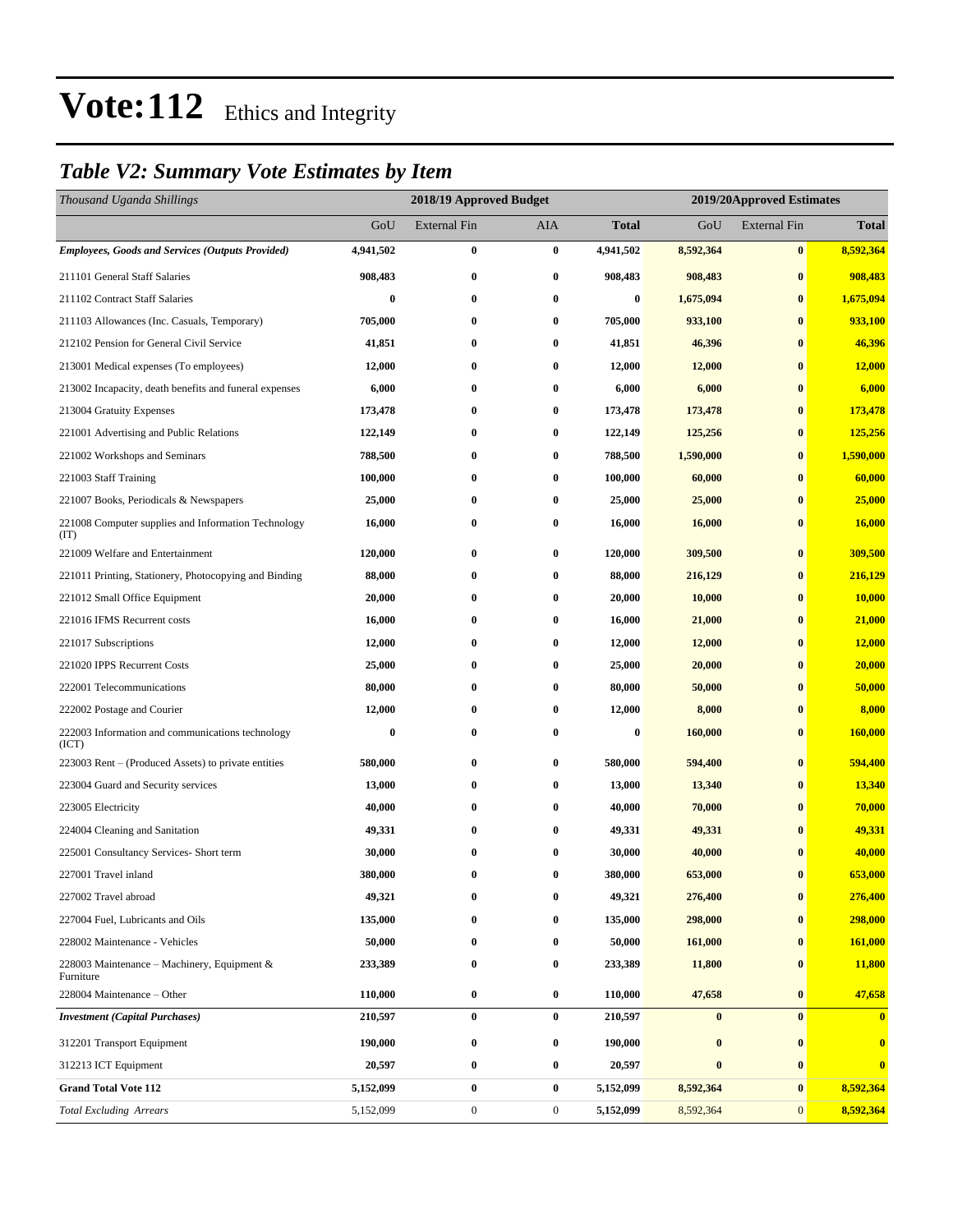### *Table V2: Summary Vote Estimates by Item*

| Thousand Uganda Shillings                                   |           | 2018/19 Approved Budget |                  |                  | 2019/20Approved Estimates |                     |               |
|-------------------------------------------------------------|-----------|-------------------------|------------------|------------------|---------------------------|---------------------|---------------|
|                                                             | GoU       | <b>External Fin</b>     | AIA              | Total            | GoU                       | <b>External Fin</b> | <b>Total</b>  |
| <b>Employees, Goods and Services (Outputs Provided)</b>     | 4,941,502 | $\bf{0}$                | $\bf{0}$         | 4,941,502        | 8,592,364                 | $\bf{0}$            | 8,592,364     |
| 211101 General Staff Salaries                               | 908,483   | $\bf{0}$                | $\bf{0}$         | 908,483          | 908,483                   | $\bf{0}$            | 908,483       |
| 211102 Contract Staff Salaries                              | $\bf{0}$  | $\bf{0}$                | $\bf{0}$         | $\boldsymbol{0}$ | 1,675,094                 | $\bf{0}$            | 1,675,094     |
| 211103 Allowances (Inc. Casuals, Temporary)                 | 705,000   | $\bf{0}$                | $\bf{0}$         | 705,000          | 933,100                   | $\bf{0}$            | 933,100       |
| 212102 Pension for General Civil Service                    | 41,851    | $\bf{0}$                | $\bf{0}$         | 41,851           | 46,396                    | $\bf{0}$            | 46,396        |
| 213001 Medical expenses (To employees)                      | 12,000    | $\bf{0}$                | $\bf{0}$         | 12,000           | 12,000                    | $\bf{0}$            | 12,000        |
| 213002 Incapacity, death benefits and funeral expenses      | 6,000     | $\bf{0}$                | $\bf{0}$         | 6,000            | 6,000                     | $\bf{0}$            | 6,000         |
| 213004 Gratuity Expenses                                    | 173,478   | $\bf{0}$                | $\bf{0}$         | 173,478          | 173,478                   | $\bf{0}$            | 173,478       |
| 221001 Advertising and Public Relations                     | 122,149   | $\boldsymbol{0}$        | $\bf{0}$         | 122,149          | 125,256                   | $\bf{0}$            | 125,256       |
| 221002 Workshops and Seminars                               | 788,500   | $\bf{0}$                | $\bf{0}$         | 788,500          | 1,590,000                 | $\bf{0}$            | 1,590,000     |
| 221003 Staff Training                                       | 100,000   | $\bf{0}$                | $\bf{0}$         | 100,000          | 60,000                    | $\bf{0}$            | 60,000        |
| 221007 Books, Periodicals & Newspapers                      | 25,000    | $\bf{0}$                | $\bf{0}$         | 25,000           | 25,000                    | $\bf{0}$            | 25,000        |
| 221008 Computer supplies and Information Technology<br>(TT) | 16,000    | $\bf{0}$                | $\bf{0}$         | 16,000           | 16,000                    | $\bf{0}$            | <b>16,000</b> |
| 221009 Welfare and Entertainment                            | 120,000   | $\bf{0}$                | $\bf{0}$         | 120,000          | 309,500                   | $\bf{0}$            | 309,500       |
| 221011 Printing, Stationery, Photocopying and Binding       | 88,000    | $\boldsymbol{0}$        | $\bf{0}$         | 88,000           | 216,129                   | $\bf{0}$            | 216,129       |
| 221012 Small Office Equipment                               | 20,000    | $\bf{0}$                | $\bf{0}$         | 20,000           | 10,000                    | $\bf{0}$            | 10,000        |
| 221016 IFMS Recurrent costs                                 | 16,000    | $\bf{0}$                | $\bf{0}$         | 16,000           | 21,000                    | $\bf{0}$            | 21,000        |
| 221017 Subscriptions                                        | 12,000    | $\bf{0}$                | $\bf{0}$         | 12,000           | 12,000                    | $\bf{0}$            | 12,000        |
| 221020 IPPS Recurrent Costs                                 | 25,000    | $\bf{0}$                | $\bf{0}$         | 25,000           | 20,000                    | $\bf{0}$            | 20,000        |
| 222001 Telecommunications                                   | 80,000    | $\bf{0}$                | $\bf{0}$         | 80,000           | 50,000                    | $\bf{0}$            | 50,000        |
| 222002 Postage and Courier                                  | 12,000    | $\bf{0}$                | $\bf{0}$         | 12,000           | 8,000                     | $\bf{0}$            | 8,000         |
| 222003 Information and communications technology<br>(ICT)   | 0         | $\bf{0}$                | $\bf{0}$         | 0                | 160,000                   | $\bf{0}$            | 160,000       |
| 223003 Rent – (Produced Assets) to private entities         | 580,000   | $\bf{0}$                | $\bf{0}$         | 580,000          | 594,400                   | $\bf{0}$            | 594,400       |
| 223004 Guard and Security services                          | 13,000    | $\bf{0}$                | $\bf{0}$         | 13,000           | 13,340                    | $\bf{0}$            | 13,340        |
| 223005 Electricity                                          | 40,000    | $\bf{0}$                | $\bf{0}$         | 40,000           | 70,000                    | $\bf{0}$            | 70,000        |
| 224004 Cleaning and Sanitation                              | 49,331    | $\bf{0}$                | $\bf{0}$         | 49,331           | 49,331                    | $\bf{0}$            | 49,331        |
| 225001 Consultancy Services- Short term                     | 30,000    | $\bf{0}$                | $\bf{0}$         | 30,000           | 40,000                    | $\bf{0}$            | 40,000        |
| 227001 Travel inland                                        | 380,000   | $\bf{0}$                | $\bf{0}$         | 380,000          | 653,000                   | $\bf{0}$            | 653,000       |
| 227002 Travel abroad                                        | 49,321    | $\bf{0}$                | $\bf{0}$         | 49,321           | 276,400                   | $\bf{0}$            | 276,400       |
| 227004 Fuel, Lubricants and Oils                            | 135,000   | $\bf{0}$                | $\bf{0}$         | 135,000          | 298,000                   | $\bf{0}$            | 298,000       |
| 228002 Maintenance - Vehicles                               | 50,000    | $\boldsymbol{0}$        | $\bf{0}$         | 50,000           | 161,000                   | $\bf{0}$            | 161,000       |
| 228003 Maintenance – Machinery, Equipment $\&$<br>Furniture | 233,389   | $\bf{0}$                | $\bf{0}$         | 233,389          | 11,800                    | $\bf{0}$            | 11,800        |
| 228004 Maintenance - Other                                  | 110,000   | $\bf{0}$                | $\bf{0}$         | 110,000          | 47,658                    | $\bf{0}$            | 47,658        |
| <b>Investment</b> (Capital Purchases)                       | 210,597   | $\bf{0}$                | $\bf{0}$         | 210,597          | $\bf{0}$                  | $\bf{0}$            | $\bf{0}$      |
| 312201 Transport Equipment                                  | 190,000   | $\boldsymbol{0}$        | $\bf{0}$         | 190,000          | $\boldsymbol{0}$          | $\bf{0}$            | $\bf{0}$      |
| 312213 ICT Equipment                                        | 20,597    | $\bf{0}$                | $\bf{0}$         | 20,597           | $\pmb{0}$                 | $\bf{0}$            | $\bf{0}$      |
| <b>Grand Total Vote 112</b>                                 | 5,152,099 | $\bf{0}$                | $\bf{0}$         | 5,152,099        | 8,592,364                 | $\bf{0}$            | 8,592,364     |
| <b>Total Excluding Arrears</b>                              | 5,152,099 | $\boldsymbol{0}$        | $\boldsymbol{0}$ | 5,152,099        | 8,592,364                 | $\mathbf{0}$        | 8,592,364     |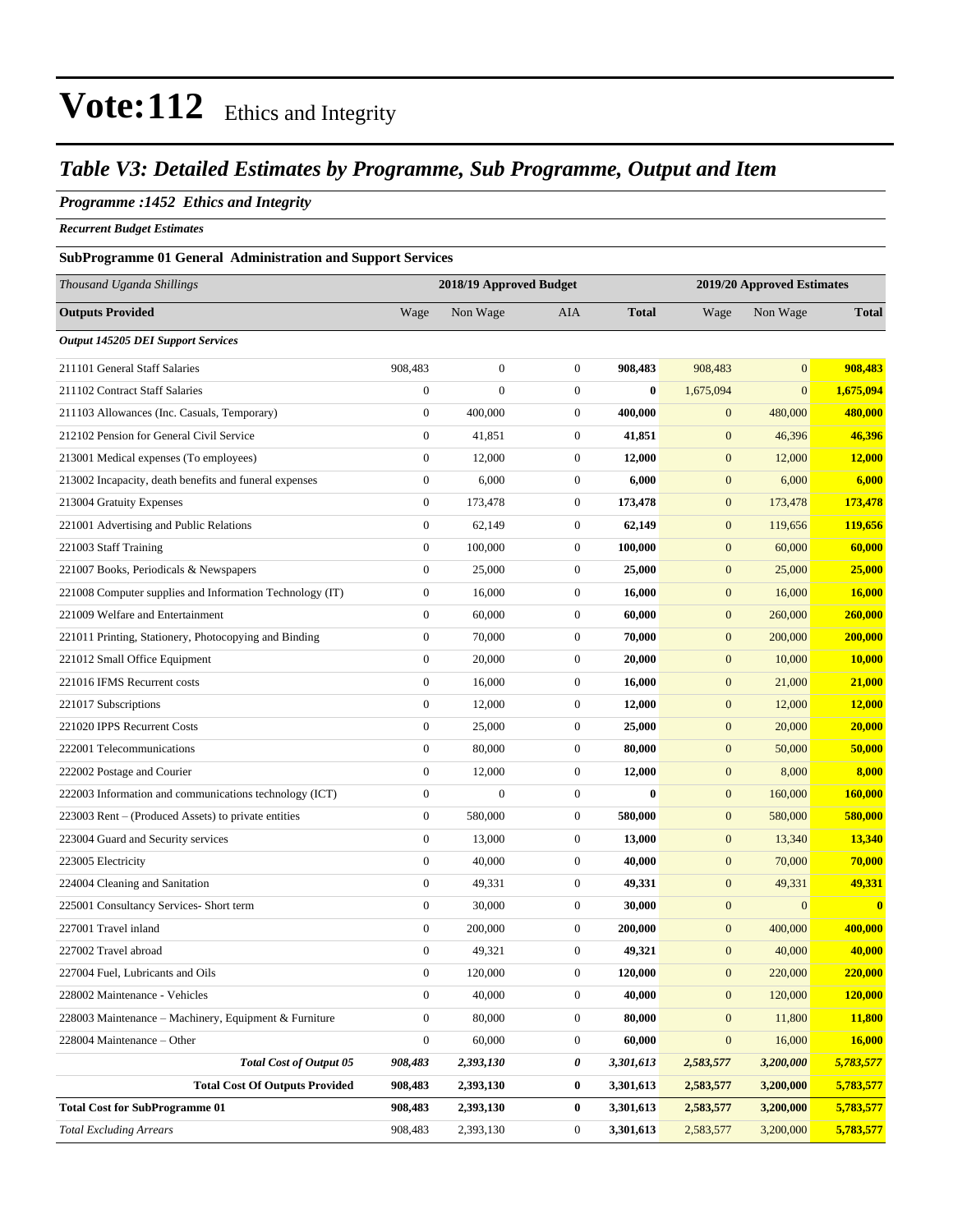### *Table V3: Detailed Estimates by Programme, Sub Programme, Output and Item*

#### *Programme :1452 Ethics and Integrity*

*Recurrent Budget Estimates*

#### **SubProgramme 01 General Administration and Support Services**

| Thousand Uganda Shillings                                |                  | 2018/19 Approved Budget |                  | 2019/20 Approved Estimates |                  |                |                |  |  |
|----------------------------------------------------------|------------------|-------------------------|------------------|----------------------------|------------------|----------------|----------------|--|--|
| <b>Outputs Provided</b>                                  | Wage             | Non Wage                | AIA              | <b>Total</b>               | Wage             | Non Wage       | <b>Total</b>   |  |  |
| <b>Output 145205 DEI Support Services</b>                |                  |                         |                  |                            |                  |                |                |  |  |
| 211101 General Staff Salaries                            | 908,483          | $\boldsymbol{0}$        | $\boldsymbol{0}$ | 908,483                    | 908,483          | $\overline{0}$ | 908,483        |  |  |
| 211102 Contract Staff Salaries                           | $\boldsymbol{0}$ | $\overline{0}$          | $\boldsymbol{0}$ | $\bf{0}$                   | 1,675,094        | $\overline{0}$ | 1,675,094      |  |  |
| 211103 Allowances (Inc. Casuals, Temporary)              | $\boldsymbol{0}$ | 400,000                 | $\boldsymbol{0}$ | 400,000                    | $\mathbf{0}$     | 480,000        | 480,000        |  |  |
| 212102 Pension for General Civil Service                 | $\boldsymbol{0}$ | 41,851                  | $\boldsymbol{0}$ | 41,851                     | $\boldsymbol{0}$ | 46,396         | 46,396         |  |  |
| 213001 Medical expenses (To employees)                   | $\boldsymbol{0}$ | 12,000                  | $\boldsymbol{0}$ | 12,000                     | $\boldsymbol{0}$ | 12,000         | 12,000         |  |  |
| 213002 Incapacity, death benefits and funeral expenses   | $\mathbf{0}$     | 6,000                   | $\boldsymbol{0}$ | 6,000                      | $\boldsymbol{0}$ | 6,000          | 6,000          |  |  |
| 213004 Gratuity Expenses                                 | $\mathbf{0}$     | 173,478                 | $\boldsymbol{0}$ | 173,478                    | $\boldsymbol{0}$ | 173,478        | 173,478        |  |  |
| 221001 Advertising and Public Relations                  | $\boldsymbol{0}$ | 62,149                  | $\boldsymbol{0}$ | 62,149                     | $\mathbf{0}$     | 119,656        | <b>119,656</b> |  |  |
| 221003 Staff Training                                    | $\boldsymbol{0}$ | 100,000                 | $\boldsymbol{0}$ | 100,000                    | $\boldsymbol{0}$ | 60,000         | 60,000         |  |  |
| 221007 Books, Periodicals & Newspapers                   | $\mathbf{0}$     | 25,000                  | $\boldsymbol{0}$ | 25,000                     | $\boldsymbol{0}$ | 25,000         | 25,000         |  |  |
| 221008 Computer supplies and Information Technology (IT) | $\mathbf{0}$     | 16,000                  | $\boldsymbol{0}$ | 16,000                     | $\boldsymbol{0}$ | 16,000         | <b>16,000</b>  |  |  |
| 221009 Welfare and Entertainment                         | $\boldsymbol{0}$ | 60,000                  | $\boldsymbol{0}$ | 60,000                     | $\boldsymbol{0}$ | 260,000        | 260,000        |  |  |
| 221011 Printing, Stationery, Photocopying and Binding    | $\mathbf{0}$     | 70,000                  | $\boldsymbol{0}$ | 70,000                     | $\mathbf{0}$     | 200,000        | 200,000        |  |  |
| 221012 Small Office Equipment                            | $\boldsymbol{0}$ | 20,000                  | $\boldsymbol{0}$ | 20,000                     | $\boldsymbol{0}$ | 10,000         | 10,000         |  |  |
| 221016 IFMS Recurrent costs                              | $\boldsymbol{0}$ | 16,000                  | $\boldsymbol{0}$ | 16,000                     | $\boldsymbol{0}$ | 21,000         | 21,000         |  |  |
| 221017 Subscriptions                                     | $\boldsymbol{0}$ | 12,000                  | $\boldsymbol{0}$ | 12,000                     | $\boldsymbol{0}$ | 12,000         | <b>12,000</b>  |  |  |
| 221020 IPPS Recurrent Costs                              | $\boldsymbol{0}$ | 25,000                  | $\boldsymbol{0}$ | 25,000                     | $\boldsymbol{0}$ | 20,000         | 20,000         |  |  |
| 222001 Telecommunications                                | $\boldsymbol{0}$ | 80,000                  | $\boldsymbol{0}$ | 80,000                     | $\mathbf{0}$     | 50,000         | 50,000         |  |  |
| 222002 Postage and Courier                               | $\boldsymbol{0}$ | 12,000                  | $\boldsymbol{0}$ | 12,000                     | $\boldsymbol{0}$ | 8,000          | 8,000          |  |  |
| 222003 Information and communications technology (ICT)   | $\boldsymbol{0}$ | $\boldsymbol{0}$        | $\boldsymbol{0}$ | $\bf{0}$                   | $\boldsymbol{0}$ | 160,000        | 160,000        |  |  |
| 223003 Rent – (Produced Assets) to private entities      | $\mathbf{0}$     | 580,000                 | $\boldsymbol{0}$ | 580,000                    | $\mathbf{0}$     | 580,000        | 580,000        |  |  |
| 223004 Guard and Security services                       | $\boldsymbol{0}$ | 13,000                  | $\boldsymbol{0}$ | 13,000                     | $\boldsymbol{0}$ | 13,340         | 13,340         |  |  |
| 223005 Electricity                                       | $\boldsymbol{0}$ | 40,000                  | $\boldsymbol{0}$ | 40,000                     | $\mathbf{0}$     | 70,000         | 70,000         |  |  |
| 224004 Cleaning and Sanitation                           | $\boldsymbol{0}$ | 49,331                  | $\boldsymbol{0}$ | 49,331                     | $\boldsymbol{0}$ | 49,331         | 49,331         |  |  |
| 225001 Consultancy Services- Short term                  | $\boldsymbol{0}$ | 30,000                  | $\boldsymbol{0}$ | 30,000                     | $\boldsymbol{0}$ | $\mathbf{0}$   | $\bf{0}$       |  |  |
| 227001 Travel inland                                     | $\boldsymbol{0}$ | 200,000                 | $\boldsymbol{0}$ | 200,000                    | $\mathbf{0}$     | 400,000        | 400,000        |  |  |
| 227002 Travel abroad                                     | $\boldsymbol{0}$ | 49,321                  | $\boldsymbol{0}$ | 49,321                     | $\mathbf{0}$     | 40,000         | 40,000         |  |  |
| 227004 Fuel, Lubricants and Oils                         | $\boldsymbol{0}$ | 120,000                 | $\boldsymbol{0}$ | 120,000                    | $\boldsymbol{0}$ | 220,000        | 220,000        |  |  |
| 228002 Maintenance - Vehicles                            | $\boldsymbol{0}$ | 40,000                  | $\boldsymbol{0}$ | 40,000                     | $\boldsymbol{0}$ | 120,000        | 120,000        |  |  |
| 228003 Maintenance – Machinery, Equipment & Furniture    | $\boldsymbol{0}$ | 80,000                  | $\boldsymbol{0}$ | 80,000                     | $\boldsymbol{0}$ | 11,800         | 11,800         |  |  |
| 228004 Maintenance - Other                               | $\boldsymbol{0}$ | 60,000                  | $\boldsymbol{0}$ | 60,000                     | $\boldsymbol{0}$ | 16,000         | 16,000         |  |  |
| <b>Total Cost of Output 05</b>                           | 908,483          | 2,393,130               | 0                | 3,301,613                  | 2,583,577        | 3,200,000      | 5,783,577      |  |  |
| <b>Total Cost Of Outputs Provided</b>                    | 908,483          | 2,393,130               | $\bf{0}$         | 3,301,613                  | 2,583,577        | 3,200,000      | 5,783,577      |  |  |
| <b>Total Cost for SubProgramme 01</b>                    | 908,483          | 2,393,130               | $\bf{0}$         | 3,301,613                  | 2,583,577        | 3,200,000      | 5,783,577      |  |  |
| <b>Total Excluding Arrears</b>                           | 908,483          | 2,393,130               | $\boldsymbol{0}$ | 3,301,613                  | 2,583,577        | 3,200,000      | 5,783,577      |  |  |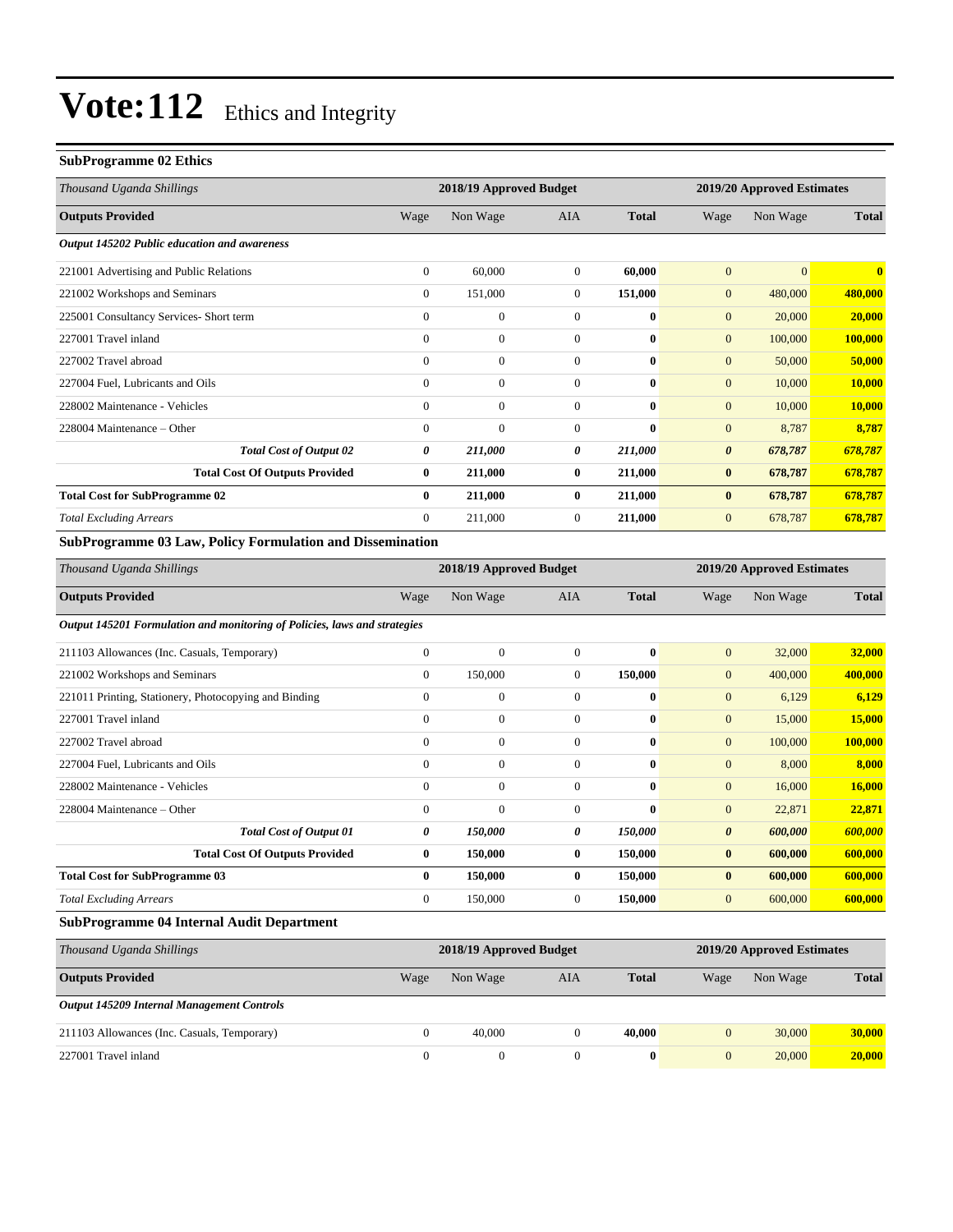#### **SubProgramme 02 Ethics**

| Wage         | Non Wage         | <b>AIA</b>     | <b>Total</b>            | Wage                  | Non Wage                     | <b>Total</b>               |
|--------------|------------------|----------------|-------------------------|-----------------------|------------------------------|----------------------------|
|              |                  |                |                         |                       |                              |                            |
| $\mathbf{0}$ | 60,000           | $\overline{0}$ |                         | $\mathbf{0}$          | $\overline{0}$               | $\mathbf{0}$               |
| $\mathbf{0}$ | 151,000          | $\overline{0}$ |                         | $\mathbf{0}$          | 480,000                      | 480,000                    |
| $\mathbf{0}$ | $\boldsymbol{0}$ | $\Omega$       | $\bf{0}$                | $\mathbf{0}$          | 20,000                       | 20,000                     |
| $\mathbf{0}$ | $\overline{0}$   | $\overline{0}$ | $\bf{0}$                | $\overline{0}$        | 100,000                      | 100,000                    |
| $\Omega$     | $\overline{0}$   | $\mathbf{0}$   | $\mathbf{0}$            | $\mathbf{0}$          | 50,000                       | 50,000                     |
| $\mathbf{0}$ | $\overline{0}$   | $\mathbf{0}$   | $\bf{0}$                | $\mathbf{0}$          | 10,000                       | 10,000                     |
| $\mathbf{0}$ | $\overline{0}$   | $\overline{0}$ | $\bf{0}$                | $\mathbf{0}$          | 10,000                       | 10,000                     |
| $\Omega$     | $\Omega$         | $\Omega$       | $\mathbf{0}$            | $\mathbf{0}$          | 8,787                        | 8,787                      |
| 0            | 211,000          | 0              | 211,000                 | $\boldsymbol{\theta}$ | 678,787                      | 678,787                    |
| $\bf{0}$     | 211,000          | $\bf{0}$       |                         | $\bf{0}$              | 678,787                      | 678,787                    |
| $\mathbf{0}$ | 211,000          | $\mathbf{0}$   | 211,000                 | $\bf{0}$              | 678,787                      | 678,787                    |
| $\theta$     | 211,000          | $\Omega$       | 211,000                 | $\mathbf{0}$          | 678,787                      | 678,787                    |
|              |                  |                | 2018/19 Approved Budget |                       | 60,000<br>151,000<br>211,000 | 2019/20 Approved Estimates |

#### **SubProgramme 03 Law, Policy Formulation and Dissemination**

| Thousand Uganda Shillings                                                 |                  | 2018/19 Approved Budget |                |              |                       | 2019/20 Approved Estimates |                        |
|---------------------------------------------------------------------------|------------------|-------------------------|----------------|--------------|-----------------------|----------------------------|------------------------|
| <b>Outputs Provided</b>                                                   | Wage             | Non Wage                | <b>AIA</b>     | <b>Total</b> | Wage                  | Non Wage                   | <b>Total</b>           |
| Output 145201 Formulation and monitoring of Policies, laws and strategies |                  |                         |                |              |                       |                            |                        |
| 211103 Allowances (Inc. Casuals, Temporary)                               | $\mathbf{0}$     | $\mathbf{0}$            | $\mathbf{0}$   | $\bf{0}$     | $\mathbf{0}$          | 32,000                     | 32,000                 |
| 221002 Workshops and Seminars                                             | $\boldsymbol{0}$ | 150,000                 | 0              | 150,000      | $\boldsymbol{0}$      | 400,000                    | 400,000                |
| 221011 Printing, Stationery, Photocopying and Binding                     | $\Omega$         | $\boldsymbol{0}$        | $\overline{0}$ | $\bf{0}$     | $\mathbf{0}$          | 6,129                      | 6,129                  |
| 227001 Travel inland                                                      | $\Omega$         | $\overline{0}$          | $\overline{0}$ | $\bf{0}$     | $\mathbf{0}$          | 15,000                     | 15,000                 |
| 227002 Travel abroad                                                      | $\mathbf{0}$     | $\overline{0}$          | $\Omega$       | $\bf{0}$     | $\overline{0}$        | 100,000                    | 100,000                |
| 227004 Fuel, Lubricants and Oils                                          | $\mathbf{0}$     | 0                       | $\overline{0}$ | $\bf{0}$     | $\mathbf{0}$          | 8,000                      | 8,000                  |
| 228002 Maintenance - Vehicles                                             | $\mathbf{0}$     | $\mathbf{0}$            | $\overline{0}$ | $\bf{0}$     | $\mathbf{0}$          | 16,000                     | 16,000                 |
| 228004 Maintenance – Other                                                | $\mathbf{0}$     | $\overline{0}$          | $\overline{0}$ | $\mathbf{0}$ | $\overline{0}$        | 22,871                     | 22,871                 |
| <b>Total Cost of Output 01</b>                                            | 0                | 150,000                 | 0              | 150,000      | $\boldsymbol{\theta}$ | 600,000                    | 600,000                |
| <b>Total Cost Of Outputs Provided</b>                                     | $\bf{0}$         | 150,000                 | $\bf{0}$       | 150,000      | $\bf{0}$              | 600,000                    | 600,000                |
| <b>Total Cost for SubProgramme 03</b>                                     | $\bf{0}$         | 150,000                 | $\bf{0}$       | 150,000      | $\bf{0}$              | 600,000                    | 600,000                |
| <b>Total Excluding Arrears</b>                                            | $\overline{0}$   | 150,000                 | 0              | 150,000      | $\mathbf{0}$          | 600,000                    | 600,000                |
| <b>SubProgramme 04 Internal Audit Department</b>                          |                  |                         |                |              |                       |                            |                        |
|                                                                           |                  | $0.0101040 + 0.01011$   |                |              | $2010/20 \pm 1$       |                            | $-1.77 \times 10^{-1}$ |

| Thousand Uganda Shillings                   | 2018/19 Approved Budget |          | 2019/20 Approved Estimates |              |          |          |              |
|---------------------------------------------|-------------------------|----------|----------------------------|--------------|----------|----------|--------------|
| <b>Outputs Provided</b>                     | Wage                    | Non Wage | AIA                        | <b>Total</b> | Wage     | Non Wage | <b>Total</b> |
| Output 145209 Internal Management Controls  |                         |          |                            |              |          |          |              |
| 211103 Allowances (Inc. Casuals, Temporary) |                         | 40,000   |                            | 40,000       | 0        | 30,000   | 30,000       |
| 227001 Travel inland                        | $\Omega$                |          |                            | 0            | $\Omega$ | 20,000   | 20,000       |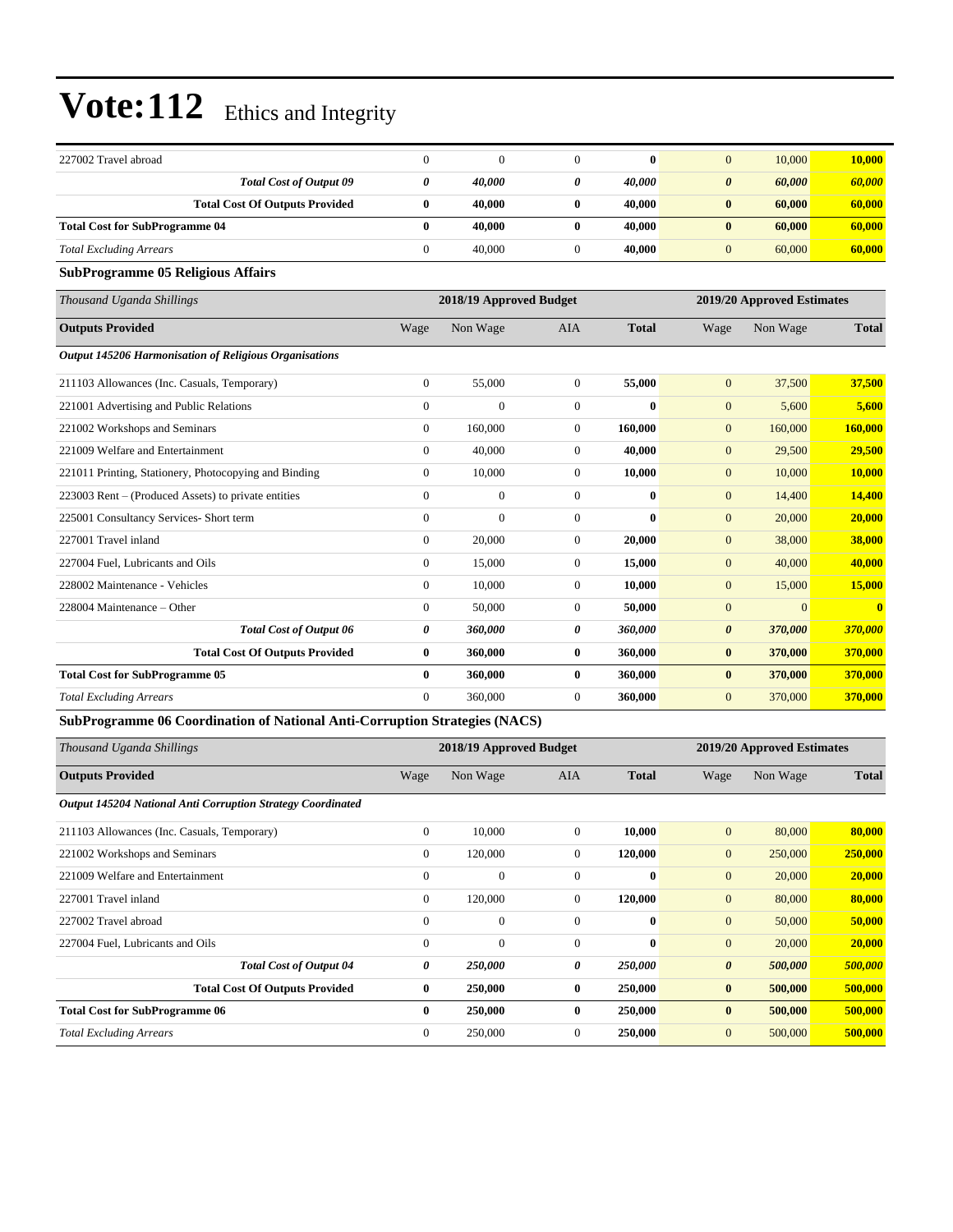| 227002 Travel abroad                                                       | $\boldsymbol{0}$ | $\boldsymbol{0}$        | 0                | 0            | $\mathbf{0}$          | 10,000                     | 10,000        |  |  |
|----------------------------------------------------------------------------|------------------|-------------------------|------------------|--------------|-----------------------|----------------------------|---------------|--|--|
| <b>Total Cost of Output 09</b>                                             | 0                | 40,000                  | 0                | 40,000       | $\boldsymbol{\theta}$ | 60,000                     | 60,000        |  |  |
| <b>Total Cost Of Outputs Provided</b>                                      | 0                | 40,000                  | $\boldsymbol{0}$ | 40,000       | $\bf{0}$              | 60,000                     | 60,000        |  |  |
| <b>Total Cost for SubProgramme 04</b>                                      | 0                | 40,000                  | $\bf{0}$         | 40,000       | $\bf{0}$              | 60,000                     | 60,000        |  |  |
| <b>Total Excluding Arrears</b>                                             | $\boldsymbol{0}$ | 40,000                  | $\boldsymbol{0}$ | 40,000       | $\mathbf{0}$          | 60,000                     | 60,000        |  |  |
| <b>SubProgramme 05 Religious Affairs</b>                                   |                  |                         |                  |              |                       |                            |               |  |  |
| Thousand Uganda Shillings                                                  |                  | 2018/19 Approved Budget |                  |              |                       | 2019/20 Approved Estimates |               |  |  |
| <b>Outputs Provided</b>                                                    | Wage             | Non Wage                | AIA              | <b>Total</b> | Wage                  | Non Wage                   | <b>Total</b>  |  |  |
| Output 145206 Harmonisation of Religious Organisations                     |                  |                         |                  |              |                       |                            |               |  |  |
| 211103 Allowances (Inc. Casuals, Temporary)                                | $\boldsymbol{0}$ | 55,000                  | 0                | 55,000       | $\mathbf{0}$          | 37,500                     | 37,500        |  |  |
| 221001 Advertising and Public Relations                                    | $\boldsymbol{0}$ | $\overline{0}$          | $\boldsymbol{0}$ | $\bf{0}$     | $\mathbf{0}$          | 5,600                      | 5,600         |  |  |
| 221002 Workshops and Seminars                                              | $\boldsymbol{0}$ | 160,000                 | $\boldsymbol{0}$ | 160,000      | $\mathbf{0}$          | 160,000                    | 160,000       |  |  |
| 221009 Welfare and Entertainment                                           | $\boldsymbol{0}$ | 40,000                  | 0                | 40,000       | $\mathbf{0}$          | 29,500                     | 29,500        |  |  |
| 221011 Printing, Stationery, Photocopying and Binding                      | $\boldsymbol{0}$ | 10,000                  | $\boldsymbol{0}$ | 10,000       | $\mathbf{0}$          | 10,000                     | <b>10,000</b> |  |  |
| 223003 Rent – (Produced Assets) to private entities                        | $\boldsymbol{0}$ | $\mathbf{0}$            | 0                | 0            | $\mathbf{0}$          | 14,400                     | 14,400        |  |  |
| 225001 Consultancy Services- Short term                                    | $\boldsymbol{0}$ | $\overline{0}$          | $\boldsymbol{0}$ | $\bf{0}$     | $\mathbf{0}$          | 20,000                     | 20,000        |  |  |
| 227001 Travel inland                                                       | $\boldsymbol{0}$ | 20,000                  | $\boldsymbol{0}$ | 20,000       | $\mathbf{0}$          | 38,000                     | 38,000        |  |  |
| 227004 Fuel, Lubricants and Oils                                           | $\boldsymbol{0}$ | 15,000                  | 0                | 15,000       | $\mathbf{0}$          | 40,000                     | 40,000        |  |  |
| 228002 Maintenance - Vehicles                                              | $\boldsymbol{0}$ | 10,000                  | $\boldsymbol{0}$ | 10,000       | $\mathbf{0}$          | 15,000                     | 15,000        |  |  |
| 228004 Maintenance – Other                                                 | 0                | 50,000                  | 0                | 50,000       | $\mathbf{0}$          | $\overline{0}$             |               |  |  |
| Total Cost of Output 06                                                    | 0                | 360,000                 | 0                | 360,000      | $\boldsymbol{\theta}$ | 370,000                    | 370,000       |  |  |
| <b>Total Cost Of Outputs Provided</b>                                      | 0                | 360,000                 | 0                | 360,000      | $\bf{0}$              | 370,000                    | 370,000       |  |  |
| <b>Total Cost for SubProgramme 05</b>                                      | 0                | 360,000                 | $\bf{0}$         | 360,000      | $\bf{0}$              | 370,000                    | 370,000       |  |  |
| <b>Total Excluding Arrears</b>                                             | $\boldsymbol{0}$ | 360,000                 | $\boldsymbol{0}$ | 360,000      | $\mathbf{0}$          | 370,000                    | 370,000       |  |  |
| SubProgramme 06 Coordination of National Anti-Corruption Strategies (NACS) |                  |                         |                  |              |                       |                            |               |  |  |
| Thousand Uganda Shillings                                                  |                  | 2018/19 Approved Budget |                  |              |                       | 2019/20 Approved Estimates |               |  |  |
| <b>Outputs Provided</b>                                                    | Wage             | Non Wage                | AIA              | <b>Total</b> | Wage                  | Non Wage                   | <b>Total</b>  |  |  |
| Output 145204 National Anti Corruption Strategy Coordinated                |                  |                         |                  |              |                       |                            |               |  |  |
| 211103 Allowances (Inc. Casuals, Temporary)                                | 0                | 10,000                  | $\Omega$         | 10,000       | $\mathbf{0}$          | 80,000                     | 80,000        |  |  |
| 221002 Workshops and Seminars                                              | $\boldsymbol{0}$ | 120,000                 | $\boldsymbol{0}$ | 120,000      | $\boldsymbol{0}$      | 250,000                    | 250,000       |  |  |
| 221009 Welfare and Entertainment                                           | $\boldsymbol{0}$ | $\boldsymbol{0}$        | $\boldsymbol{0}$ | 0            | $\boldsymbol{0}$      | 20,000                     | 20,000        |  |  |
| 227001 Travel inland                                                       | $\boldsymbol{0}$ | 120,000                 | $\boldsymbol{0}$ | 120,000      | $\boldsymbol{0}$      | 80,000                     | 80,000        |  |  |
| 227002 Travel abroad                                                       | $\boldsymbol{0}$ | $\boldsymbol{0}$        | $\boldsymbol{0}$ | 0            | $\boldsymbol{0}$      | 50,000                     | 50,000        |  |  |
| 227004 Fuel, Lubricants and Oils                                           | $\boldsymbol{0}$ | $\mathbf{0}$            | 0                | $\bf{0}$     | $\mathbf{0}$          | 20,000                     | 20,000        |  |  |
| <b>Total Cost of Output 04</b>                                             | 0                | 250,000                 | 0                | 250,000      | 0                     | 500,000                    | 500,000       |  |  |
| <b>Total Cost Of Outputs Provided</b>                                      | 0                | 250,000                 | $\boldsymbol{0}$ | 250,000      | $\boldsymbol{0}$      | 500,000                    | 500,000       |  |  |
| <b>Total Cost for SubProgramme 06</b>                                      | 0                | 250,000                 | $\bf{0}$         | 250,000      | $\bf{0}$              | 500,000                    | 500,000       |  |  |

*Total Excluding Arrears* 0 250,000 0 **250,000** 0 500,000 **500,000**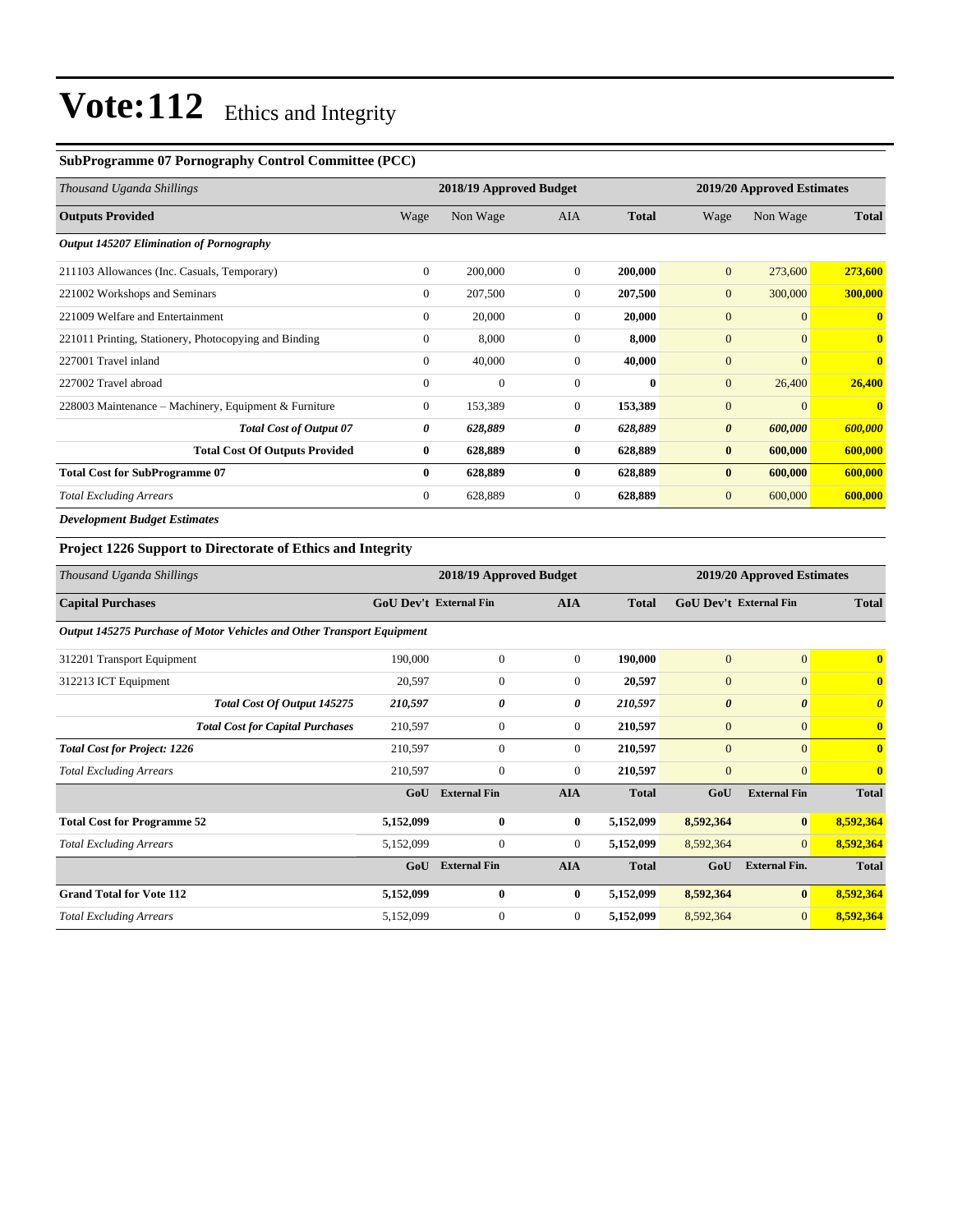#### **SubProgramme 07 Pornography Control Committee (PCC)**

| Thousand Uganda Shillings                             |                | 2018/19 Approved Budget |                |              |                       | 2019/20 Approved Estimates |                         |  |
|-------------------------------------------------------|----------------|-------------------------|----------------|--------------|-----------------------|----------------------------|-------------------------|--|
| <b>Outputs Provided</b>                               | Wage           | Non Wage                | <b>AIA</b>     | <b>Total</b> | Wage                  | Non Wage                   | <b>Total</b>            |  |
| Output 145207 Elimination of Pornography              |                |                         |                |              |                       |                            |                         |  |
| 211103 Allowances (Inc. Casuals, Temporary)           | $\mathbf{0}$   | 200,000                 | $\mathbf{0}$   | 200,000      | $\mathbf{0}$          | 273,600                    | 273,600                 |  |
| 221002 Workshops and Seminars                         | $\mathbf{0}$   | 207,500                 | $\mathbf{0}$   | 207,500      | $\mathbf{0}$          | 300,000                    | 300,000                 |  |
| 221009 Welfare and Entertainment                      | $\mathbf{0}$   | 20,000                  | $\mathbf{0}$   | 20,000       | $\boldsymbol{0}$      | $\overline{0}$             | $\mathbf{0}$            |  |
| 221011 Printing, Stationery, Photocopying and Binding | $\mathbf{0}$   | 8,000                   | $\mathbf{0}$   | 8,000        | $\overline{0}$        | $\overline{0}$             | $\mathbf{0}$            |  |
| 227001 Travel inland                                  | $\mathbf{0}$   | 40,000                  | $\mathbf{0}$   | 40,000       | $\boldsymbol{0}$      | $\overline{0}$             | $\overline{\mathbf{0}}$ |  |
| 227002 Travel abroad                                  | $\mathbf{0}$   | $\mathbf{0}$            | $\mathbf{0}$   | $\bf{0}$     | $\mathbf{0}$          | 26,400                     | 26,400                  |  |
| 228003 Maintenance – Machinery, Equipment & Furniture | $\overline{0}$ | 153,389                 | $\Omega$       | 153,389      | $\overline{0}$        | $\Omega$                   | $\mathbf{0}$            |  |
| <b>Total Cost of Output 07</b>                        | 0              | 628,889                 | 0              | 628,889      | $\boldsymbol{\theta}$ | 600,000                    | 600,000                 |  |
| <b>Total Cost Of Outputs Provided</b>                 | $\bf{0}$       | 628,889                 | $\bf{0}$       | 628,889      | $\bf{0}$              | 600,000                    | 600,000                 |  |
| <b>Total Cost for SubProgramme 07</b>                 | $\bf{0}$       | 628,889                 | $\bf{0}$       | 628,889      | $\bf{0}$              | 600,000                    | 600,000                 |  |
| <b>Total Excluding Arrears</b>                        | $\overline{0}$ | 628,889                 | $\overline{0}$ | 628,889      | $\mathbf{0}$          | 600,000                    | 600,000                 |  |
| _ _ _ _ _ _                                           |                |                         |                |              |                       |                            |                         |  |

*Development Budget Estimates*

#### **Project 1226 Support to Directorate of Ethics and Integrity**

| Thousand Uganda Shillings                                              |           | 2018/19 Approved Budget       |              |              |                       | 2019/20 Approved Estimates    |                         |
|------------------------------------------------------------------------|-----------|-------------------------------|--------------|--------------|-----------------------|-------------------------------|-------------------------|
| <b>Capital Purchases</b>                                               |           | <b>GoU Dev't External Fin</b> | <b>AIA</b>   | <b>Total</b> |                       | <b>GoU Dev't External Fin</b> | <b>Total</b>            |
| Output 145275 Purchase of Motor Vehicles and Other Transport Equipment |           |                               |              |              |                       |                               |                         |
| 312201 Transport Equipment                                             | 190,000   | $\overline{0}$                | $\mathbf{0}$ | 190,000      | $\mathbf{0}$          | $\overline{0}$                | $\overline{\mathbf{0}}$ |
| 312213 ICT Equipment                                                   | 20,597    | $\boldsymbol{0}$              | $\mathbf{0}$ | 20,597       | $\mathbf{0}$          | $\overline{0}$                | $\mathbf{0}$            |
| Total Cost Of Output 145275                                            | 210,597   | 0                             | 0            | 210,597      | $\boldsymbol{\theta}$ | $\boldsymbol{\theta}$         | $\boldsymbol{\theta}$   |
| <b>Total Cost for Capital Purchases</b>                                | 210,597   | $\boldsymbol{0}$              | $\mathbf{0}$ | 210,597      | $\mathbf{0}$          | $\overline{0}$                | $\bf{0}$                |
| <b>Total Cost for Project: 1226</b>                                    | 210,597   | $\boldsymbol{0}$              | $\mathbf{0}$ | 210,597      | $\mathbf{0}$          | $\overline{0}$                | $\mathbf{0}$            |
| <b>Total Excluding Arrears</b>                                         | 210,597   | $\mathbf{0}$                  | $\mathbf{0}$ | 210,597      | $\overline{0}$        | $\overline{0}$                | $\mathbf{0}$            |
|                                                                        | GoU       | <b>External Fin</b>           | <b>AIA</b>   | <b>Total</b> | GoU                   | <b>External Fin</b>           | <b>Total</b>            |
| <b>Total Cost for Programme 52</b>                                     | 5,152,099 | $\bf{0}$                      | $\bf{0}$     | 5,152,099    | 8,592,364             | $\bf{0}$                      | 8,592,364               |
| <b>Total Excluding Arrears</b>                                         | 5,152,099 | $\boldsymbol{0}$              | $\mathbf{0}$ | 5,152,099    | 8,592,364             | $\overline{0}$                | 8,592,364               |
|                                                                        | GoU       | <b>External Fin</b>           | <b>AIA</b>   | <b>Total</b> | GoU                   | <b>External Fin.</b>          | <b>Total</b>            |
| <b>Grand Total for Vote 112</b>                                        | 5,152,099 | $\bf{0}$                      | $\bf{0}$     | 5,152,099    | 8,592,364             | $\bf{0}$                      | 8,592,364               |
| <b>Total Excluding Arrears</b>                                         | 5,152,099 | $\boldsymbol{0}$              | $\mathbf{0}$ | 5,152,099    | 8,592,364             | $\overline{0}$                | 8,592,364               |